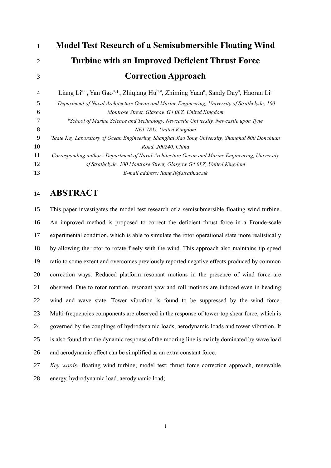| 1              | <b>Model Test Research of a Semisubmersible Floating Wind</b>                                                                                               |
|----------------|-------------------------------------------------------------------------------------------------------------------------------------------------------------|
| $\overline{2}$ | <b>Turbine with an Improved Deficient Thrust Force</b>                                                                                                      |
| 3              | <b>Correction Approach</b>                                                                                                                                  |
| $\overline{4}$ | Liang Li <sup>a,c</sup> , Yan Gao <sup>a,*</sup> , Zhiqiang Hu <sup>b,c</sup> , Zhiming Yuan <sup>a</sup> , Sandy Day <sup>a</sup> , Haoran Li <sup>c</sup> |
| 5              | <sup>a</sup> Department of Naval Architecture Ocean and Marine Engineering, University of Strathclyde, 100                                                  |
| 6              | Montrose Street, Glasgow G4 0LZ, United Kingdom                                                                                                             |
| 7              | $b$ School of Marine Science and Technology, Newcastle University, Newcastle upon Tyne                                                                      |
| 8              | NE1 7RU, United Kingdom                                                                                                                                     |
| 9              | "State Key Laboratory of Ocean Engineering, Shanghai Jiao Tong University, Shanghai 800 Donchuan                                                            |
| 10             | Road, 200240, China                                                                                                                                         |
| 11             | Corresponding author. "Department of Naval Architecture Ocean and Marine Engineering, University                                                            |
| 12             | of Strathclyde, 100 Montrose Street, Glasgow G4 0LZ, United Kingdom                                                                                         |
| 13             | E-mail address: liang.li@strath.ac.uk                                                                                                                       |

# **ABSTRACT**

 This paper investigates the model test research of a semisubmersible floating wind turbine. An improved method is proposed to correct the deficient thrust force in a Froude-scale experimental condition, which is able to simulate the rotor operational state more realistically by allowing the rotor to rotate freely with the wind. This approach also maintains tip speed ratio to some extent and overcomes previously reported negative effects produced by common correction ways. Reduced platform resonant motions in the presence of wind force are observed. Due to rotor rotation, resonant yaw and roll motions are induced even in heading wind and wave state. Tower vibration is found to be suppressed by the wind force. Multi-frequencies components are observed in the response of tower-top shear force, which is governed by the couplings of hydrodynamic loads, aerodynamic loads and tower vibration. It is also found that the dynamic response of the mooring line is mainly dominated by wave load and aerodynamic effect can be simplified as an extra constant force.

 *Key words:* floating wind turbine; model test; thrust force correction approach, renewable energy, hydrodynamic load, aerodynamic load;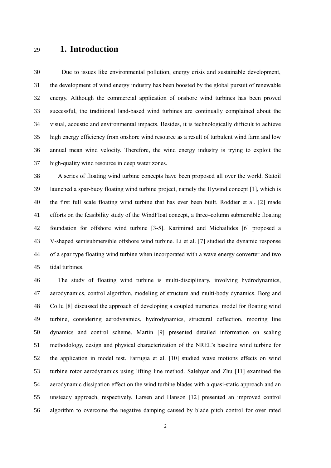## **1. Introduction**

 Due to issues like environmental pollution, energy crisis and sustainable development, the development of wind energy industry has been boosted by the global pursuit of renewable energy. Although the commercial application of onshore wind turbines has been proved successful, the traditional land-based wind turbines are continually complained about the visual, acoustic and environmental impacts. Besides, it is technologically difficult to achieve high energy efficiency from onshore wind resource as a result of turbulent wind farm and low annual mean wind velocity. Therefore, the wind energy industry is trying to exploit the high-quality wind resource in deep water zones.

 A series of floating wind turbine concepts have been proposed all over the world. Statoil launched a spar-buoy floating wind turbine project, namely the Hywind concept [1], which is the first full scale floating wind turbine that has ever been built. Roddier et al. [2] made efforts on the feasibility study of the WindFloat concept, a three–column submersible floating foundation for offshore wind turbine [3-5]. Karimirad and Michailides [6] proposed a V-shaped semisubmersible offshore wind turbine. Li et al. [7] studied the dynamic response of a spar type floating wind turbine when incorporated with a wave energy converter and two tidal turbines.

 The study of floating wind turbine is multi-disciplinary, involving hydrodynamics, aerodynamics, control algorithm, modeling of structure and multi-body dynamics. Borg and Collu [8] discussed the approach of developing a coupled numerical model for floating wind turbine, considering aerodynamics, hydrodynamics, structural deflection, mooring line dynamics and control scheme. Martin [9] presented detailed information on scaling methodology, design and physical characterization of the NREL's baseline wind turbine for the application in model test. Farrugia et al. [10] studied wave motions effects on wind turbine rotor aerodynamics using lifting line method. Salehyar and Zhu [11] examined the aerodynamic dissipation effect on the wind turbine blades with a quasi-static approach and an unsteady approach, respectively. Larsen and Hanson [12] presented an improved control algorithm to overcome the negative damping caused by blade pitch control for over rated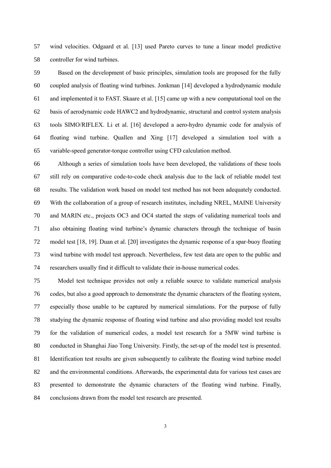wind velocities. Odgaard et al. [13] used Pareto curves to tune a linear model predictive controller for wind turbines.

 Based on the development of basic principles, simulation tools are proposed for the fully coupled analysis of floating wind turbines. Jonkman [14] developed a hydrodynamic module and implemented it to FAST. Skaare et al. [15] came up with a new computational tool on the basis of aerodynamic code HAWC2 and hydrodynamic, structural and control system analysis tools SIMO/RIFLEX. Li et al. [16] developed a aero-hydro dynamic code for analysis of floating wind turbine. Quallen and Xing [17] developed a simulation tool with a variable-speed generator-torque controller using CFD calculation method.

 Although a series of simulation tools have been developed, the validations of these tools still rely on comparative code-to-code check analysis due to the lack of reliable model test results. The validation work based on model test method has not been adequately conducted. With the collaboration of a group of research institutes, including NREL, MAINE University and MARIN etc., projects OC3 and OC4 started the steps of validating numerical tools and also obtaining floating wind turbine's dynamic characters through the technique of basin model test [18, 19]. Duan et al. [20] investigates the dynamic response of a spar-buoy floating wind turbine with model test approach. Nevertheless, few test data are open to the public and researchers usually find it difficult to validate their in-house numerical codes.

 Model test technique provides not only a reliable source to validate numerical analysis codes, but also a good approach to demonstrate the dynamic characters of the floating system, especially those unable to be captured by numerical simulations. For the purpose of fully studying the dynamic response of floating wind turbine and also providing model test results for the validation of numerical codes, a model test research for a 5MW wind turbine is conducted in Shanghai Jiao Tong University. Firstly, the set-up of the model test is presented. Identification test results are given subsequently to calibrate the floating wind turbine model and the environmental conditions. Afterwards, the experimental data for various test cases are presented to demonstrate the dynamic characters of the floating wind turbine. Finally, conclusions drawn from the model test research are presented.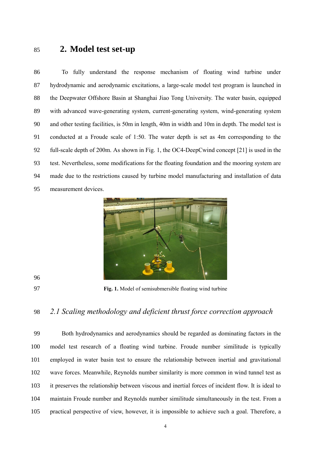# **2. Model test set-up**

 To fully understand the response mechanism of floating wind turbine under hydrodynamic and aerodynamic excitations, a large-scale model test program is launched in the Deepwater Offshore Basin at Shanghai Jiao Tong University. The water basin, equipped with advanced wave-generating system, current-generating system, wind-generating system and other testing facilities, is 50m in length, 40m in width and 10m in depth. The model test is conducted at a Froude scale of 1:50. The water depth is set as 4m corresponding to the full-scale depth of 200m. As shown in [Fig. 1,](#page-3-0) the OC4-DeepCwind concept [21] is used in the test. Nevertheless, some modifications for the floating foundation and the mooring system are made due to the restrictions caused by turbine model manufacturing and installation of data measurement devices.





<span id="page-3-0"></span>**Fig. 1.** Model of semisubmersible floating wind turbine

### *2.1 Scaling methodology and deficient thrust force correction approach*

 Both hydrodynamics and aerodynamics should be regarded as dominating factors in the model test research of a floating wind turbine. Froude number similitude is typically employed in water basin test to ensure the relationship between inertial and gravitational wave forces. Meanwhile, Reynolds number similarity is more common in wind tunnel test as it preserves the relationship between viscous and inertial forces of incident flow. It is ideal to maintain Froude number and Reynolds number similitude simultaneously in the test. From a practical perspective of view, however, it is impossible to achieve such a goal. Therefore, a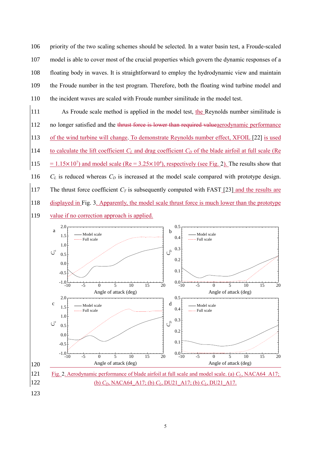priority of the two scaling schemes should be selected. In a water basin test, a Froude-scaled model is able to cover most of the crucial properties which govern the dynamic responses of a floating body in waves. It is straightforward to employ the hydrodynamic view and maintain the Froude number in the test program. Therefore, both the floating wind turbine model and the incident waves are scaled with Froude number similitude in the model test.

111 As Froude scale method is applied in the model test, the Reynolds number similitude is 112 no longer satisfied and the thrust force is lower than required valued accodynamic performance 113 of the wind turbine will change. To demonstrate Reynolds number effect, XFOIL [22] is used 114 to calculate the lift coefficient  $C_L$  and drag coefficient  $C_D$  of the blade airfoil at full scale (Re 115 =  $1.15 \times 10^7$ ) and model scale (Re =  $3.25 \times 10^4$ ), respectively (see [Fig. 2\)](#page-4-0). The results show that 116 *C<sup>L</sup>* is reduced whereas *C<sup>D</sup>* is increased at the model scale compared with prototype design. 117 The thrust force coefficient  $C_T$  is subsequently computed with FAST [23] and the results are 118 displayed in [Fig. 3.](#page-5-0) Apparently, the model scale thrust force is much lower than the prototype





<span id="page-4-0"></span>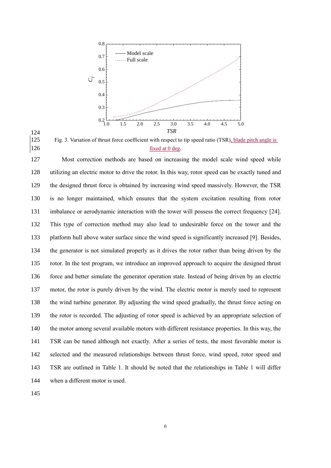



<span id="page-5-0"></span>125 Fig. 3. Variation of thrust force coefficient with respect to tip speed ratio (TSR), blade pitch angle is 126 fixed at 0 deg.

 Most correction methods are based on increasing the model scale wind speed while utilizing an electric motor to drive the rotor. In this way, rotor speed can be exactly tuned and the designed thrust force is obtained by increasing wind speed massively. However, the TSR is no longer maintained, which ensures that the system excitation resulting from rotor imbalance or aerodynamic interaction with the tower will possess the correct frequency [24]. This type of correction method may also lead to undesirable force on the tower and the platform hull above water surface since the wind speed is significantly increased [9]. Besides, the generator is not simulated properly as it drives the rotor rather than being driven by the rotor. In the test program, we introduce an improved approach to acquire the designed thrust force and better simulate the generator operation state. Instead of being driven by an electric motor, the rotor is purely driven by the wind. The electric motor is merely used to represent the wind turbine generator. By adjusting the wind speed gradually, the thrust force acting on the rotor is recorded. The adjusting of rotor speed is achieved by an appropriate selection of the motor among several available motors with different resistance properties. In this way, the TSR can be tuned although not exactly. After a series of tests, the most favorable motor is selected and the measured relationships between thrust force, wind speed, rotor speed and TSR are outlined in [Table 1.](#page-6-0) It should be noted that the relationships in [Table 1](#page-6-0) will differ when a different motor is used.

145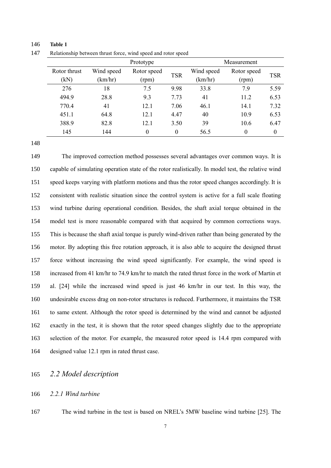<span id="page-6-0"></span>

|              | Prototype  |             |            |            | Measurement |            |
|--------------|------------|-------------|------------|------------|-------------|------------|
| Rotor thrust | Wind speed | Rotor speed | <b>TSR</b> | Wind speed | Rotor speed | <b>TSR</b> |
| (kN)         | (km/hr)    | (rpm)       |            | (km/hr)    | (rpm)       |            |
| 276          | 18         | 7.5         | 9.98       | 33.8       | 7.9         | 5.59       |
| 494.9        | 28.8       | 9.3         | 7.73       | 41         | 11.2        | 6.53       |
| 770.4        | 41         | 12.1        | 7.06       | 46.1       | 14.1        | 7.32       |
| 451.1        | 64.8       | 12.1        | 4.47       | 40         | 10.9        | 6.53       |
| 388.9        | 82.8       | 12.1        | 3.50       | 39         | 10.6        | 6.47       |
| 145          | 144        | 0           | $\Omega$   | 56.5       | $\theta$    | $\theta$   |

146 **Table 1**

147 Relationship between thrust force, wind speed and rotor speed

 The improved correction method possesses several advantages over common ways. It is capable of simulating operation state of the rotor realistically. In model test, the relative wind speed keeps varying with platform motions and thus the rotor speed changes accordingly. It is consistent with realistic situation since the control system is active for a full scale floating wind turbine during operational condition. Besides, the shaft axial torque obtained in the model test is more reasonable compared with that acquired by common corrections ways. This is because the shaft axial torque is purely wind-driven rather than being generated by the motor. By adopting this free rotation approach, it is also able to acquire the designed thrust force without increasing the wind speed significantly. For example, the wind speed is increased from 41 km/hr to 74.9 km/hr to match the rated thrust force in the work of Martin et al. [24] while the increased wind speed is just 46 km/hr in our test. In this way, the undesirable excess drag on non-rotor structures is reduced. Furthermore, it maintains the TSR to same extent. Although the rotor speed is determined by the wind and cannot be adjusted exactly in the test, it is shown that the rotor speed changes slightly due to the appropriate selection of the motor. For example, the measured rotor speed is 14.4 rpm compared with designed value 12.1 rpm in rated thrust case.

### 165 *2.2 Model description*

### 166 *2.2.1 Wind turbine*

167 The wind turbine in the test is based on NREL's 5MW baseline wind turbine [25]. The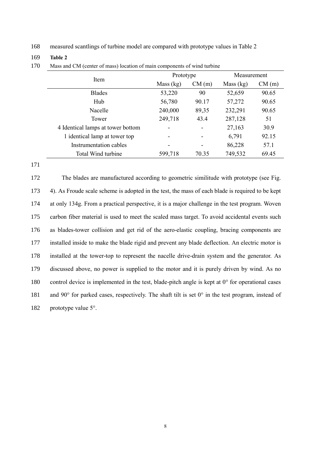168 measured scantlings of turbine model are compared with prototype values in [Table 2](#page-7-0)

#### 169 **Table 2**

<span id="page-7-0"></span>

|                                   | Prototype   |                              | Measurement |       |  |
|-----------------------------------|-------------|------------------------------|-------------|-------|--|
| Item                              | Mass $(kg)$ | CM(m)                        | Mass (kg)   | CM(m) |  |
| <b>Blades</b>                     | 53,220      | 90                           | 52,659      | 90.65 |  |
| Hub                               | 56,780      | 90.17                        | 57,272      | 90.65 |  |
| Nacelle                           | 240,000     | 89,35                        | 232,291     | 90.65 |  |
| Tower                             | 249,718     | 43.4                         | 287,128     | 51    |  |
| 4 Identical lamps at tower bottom |             | $\qquad \qquad \blacksquare$ | 27,163      | 30.9  |  |
| 1 identical lamp at tower top     |             | $\qquad \qquad \blacksquare$ | 6,791       | 92.15 |  |
| Instrumentation cables            |             | -                            | 86,228      | 57.1  |  |
| Total Wind turbine                | 599,718     | 70.35                        | 749,532     | 69.45 |  |

170 Mass and CM (center of mass) location of main components of wind turbine

171

 The blades are manufactured according to geometric similitude with prototype (see [Fig.](#page-8-0)  [4\)](#page-8-0). As Froude scale scheme is adopted in the test, the mass of each blade is required to be kept at only 134g. From a practical perspective, it is a major challenge in the test program. Woven carbon fiber material is used to meet the scaled mass target. To avoid accidental events such as blades-tower collision and get rid of the aero-elastic coupling, bracing components are installed inside to make the blade rigid and prevent any blade deflection. An electric motor is installed at the tower-top to represent the nacelle drive-drain system and the generator. As discussed above, no power is supplied to the motor and it is purely driven by wind. As no 180 control device is implemented in the test, blade-pitch angle is kept at 0° for operational cases 181 and 90 $\degree$  for parked cases, respectively. The shaft tilt is set  $0\degree$  in the test program, instead of 182 prototype value 5°.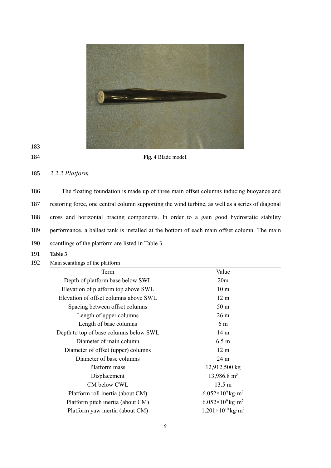

#### <span id="page-8-0"></span>184 **Fig. 4** Blade model.

### 185 *2.2.2 Platform*

 The floating foundation is made up of three main offset columns inducing buoyance and restoring force, one central column supporting the wind turbine, as well as a series of diagonal cross and horizontal bracing components. In order to a gain good hydrostatic stability performance, a ballast tank is installed at the bottom of each main offset column. The main scantlings of the platform are listed in [Table 3.](#page-8-1)

- 191 **Table 3**
- 192 Main scantlings of the platform

<span id="page-8-1"></span>

| Term                                   | Value                                    |
|----------------------------------------|------------------------------------------|
| Depth of platform base below SWL       | 20 <sub>m</sub>                          |
| Elevation of platform top above SWL    | 10 <sub>m</sub>                          |
| Elevation of offset columns above SWL  | 12 <sub>m</sub>                          |
| Spacing between offset columns         | 50 <sub>m</sub>                          |
| Length of upper columns                | 26 <sub>m</sub>                          |
| Length of base columns                 | 6 m                                      |
| Depth to top of base columns below SWL | 14 <sub>m</sub>                          |
| Diameter of main column                | 6.5 <sub>m</sub>                         |
| Diameter of offset (upper) columns     | 12 <sub>m</sub>                          |
| Diameter of base columns               | 24 <sub>m</sub>                          |
| Platform mass                          | 12,912,500 kg                            |
| Displacement                           | $13,986.8 \text{ m}^3$                   |
| CM below CWL                           | $13.5 \text{ m}$                         |
| Platform roll inertia (about CM)       | $6.052\times10^{9}$ kg·m <sup>2</sup>    |
| Platform pitch inertia (about CM)      | $6.052\times10^{9}$ kg·m <sup>2</sup>    |
| Platform yaw inertia (about CM)        | $1.201 \times 10^{10}$ kg·m <sup>2</sup> |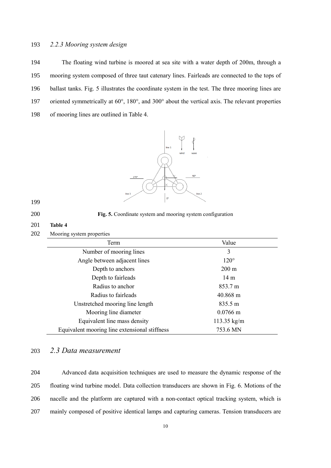### 193 *2.2.3 Mooring system design*

 The floating wind turbine is moored at sea site with a water depth of 200m, through a mooring system composed of three taut catenary lines. Fairleads are connected to the tops of ballast tanks. [Fig. 5](#page-9-0) illustrates the coordinate system in the test. The three mooring lines are oriented symmetrically at 60°, 180°, and 300° about the vertical axis. The relevant properties of mooring lines are outlined in [Table 4.](#page-9-1)



#### 199

<span id="page-9-0"></span>200 **Fig. 5.** Coordinate system and mooring system configuration

## <span id="page-9-1"></span>201 **Table 4**

| 202 | Mooring system properties                     |                       |
|-----|-----------------------------------------------|-----------------------|
|     | Term                                          | Value                 |
|     | Number of mooring lines                       | 3                     |
|     | Angle between adjacent lines                  | $120^\circ$           |
|     | Depth to anchors                              | $200 \text{ m}$       |
|     | Depth to fairleads                            | 14 <sub>m</sub>       |
|     | Radius to anchor                              | 853.7 m               |
|     | Radius to fairleads                           | $40.868$ m            |
|     | Unstretched mooring line length               | 835.5 m               |
|     | Mooring line diameter                         | $0.0766$ m            |
|     | Equivalent line mass density                  | $113.35 \text{ kg/m}$ |
|     | Equivalent mooring line extensional stiffness | 753.6 MN              |

### 203 *2.3 Data measurement*

 Advanced data acquisition techniques are used to measure the dynamic response of the floating wind turbine model. Data collection transducers are shown in [Fig. 6.](#page-10-0) Motions of the nacelle and the platform are captured with a non-contact optical tracking system, which is mainly composed of positive identical lamps and capturing cameras. Tension transducers are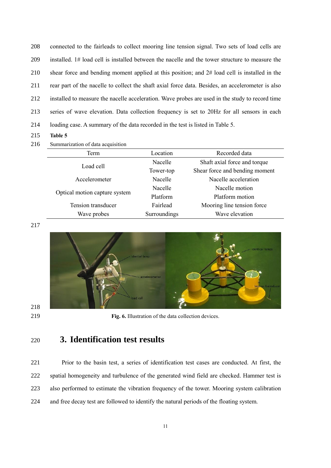connected to the fairleads to collect mooring line tension signal. Two sets of load cells are installed. 1# load cell is installed between the nacelle and the tower structure to measure the shear force and bending moment applied at this position; and 2# load cell is installed in the rear part of the nacelle to collect the shaft axial force data. Besides, an accelerometer is also installed to measure the nacelle acceleration. Wave probes are used in the study to record time series of wave elevation. Data collection frequency is set to 20Hz for all sensors in each loading case. A summary of the data recorded in the test is listed in [Table 5.](#page-10-1)

- **Table 5**
- 216 Summarization of data acquisition

<span id="page-10-1"></span>

| Location     | Recorded data                  |
|--------------|--------------------------------|
| Nacelle      | Shaft axial force and torque   |
| Tower-top    | Shear force and bending moment |
| Nacelle      | Nacelle acceleration           |
| Nacelle      | Nacelle motion                 |
| Platform     | Platform motion                |
| Fairlead     | Mooring line tension force     |
| Surroundings | Wave elevation                 |
|              |                                |



<span id="page-10-0"></span>**Fig. 6.** Illustration of the data collection devices.

# **3. Identification test results**

 Prior to the basin test, a series of identification test cases are conducted. At first, the spatial homogeneity and turbulence of the generated wind field are checked. Hammer test is also performed to estimate the vibration frequency of the tower. Mooring system calibration and free decay test are followed to identify the natural periods of the floating system.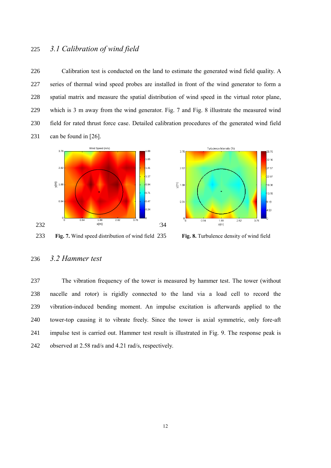### 225 *3.1 Calibration of wind field*

 Calibration test is conducted on the land to estimate the generated wind field quality. A series of thermal wind speed probes are installed in front of the wind generator to form a spatial matrix and measure the spatial distribution of wind speed in the virtual rotor plane, which is 3 m away from the wind generator. [Fig. 7](#page-11-0) and [Fig. 8](#page-11-1) illustrate the measured wind field for rated thrust force case. Detailed calibration procedures of the generated wind field can be found in [26].





<span id="page-11-1"></span>Fig. 8. Turbulence density of wind field

### <span id="page-11-0"></span>236 *3.2 Hammer test*

 The vibration frequency of the tower is measured by hammer test. The tower (without nacelle and rotor) is rigidly connected to the land via a load cell to record the vibration-induced bending moment. An impulse excitation is afterwards applied to the tower-top causing it to vibrate freely. Since the tower is axial symmetric, only fore-aft impulse test is carried out. Hammer test result is illustrated in [Fig. 9.](#page-12-0) The response peak is observed at 2.58 rad/s and 4.21 rad/s, respectively.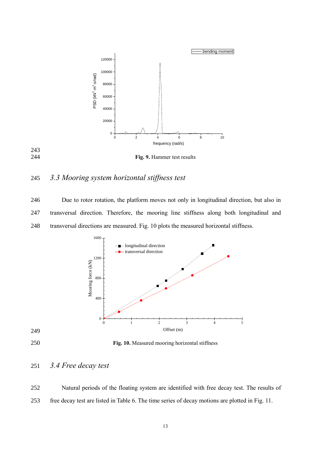

<span id="page-12-0"></span>**Fig. 9.** Hammer test results

## *3.3 Mooring system horizontal stiffness test*

 Due to rotor rotation, the platform moves not only in longitudinal direction, but also in transversal direction. Therefore, the mooring line stiffness along both longitudinal and transversal directions are measured. [Fig. 10](#page-12-1) plots the measured horizontal stiffness.



<span id="page-12-1"></span>**Fig. 10.** Measured mooring horizontal stiffness

# *3.4 Free decay test*

 Natural periods of the floating system are identified with free decay test. The results of free decay test are listed in [Table 6.](#page-13-0) The time series of decay motions are plotted in [Fig. 11.](#page-13-1)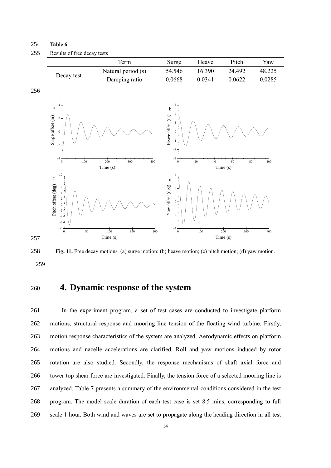#### <span id="page-13-0"></span>254 **Table 6**

Decay test

| 255 | Results of free decay tests |                    |        |        |        |        |
|-----|-----------------------------|--------------------|--------|--------|--------|--------|
|     |                             | <b>Term</b>        | Surge  | Heave  | Pitch  | Yaw    |
|     | $\sim$                      | Natural period (s) | 54.546 | 16.390 | 24.492 | 48.225 |



Damping ratio 0.0668 0.0341 0.0622 0.0285

<span id="page-13-1"></span>258 **Fig. 11.** Free decay motions. (a) surge motion; (b) heave motion; (c) pitch motion; (d) yaw motion. 259

# <sup>260</sup> **4. Dynamic response of the system**

 In the experiment program, a set of test cases are conducted to investigate platform motions, structural response and mooring line tension of the floating wind turbine. Firstly, motion response characteristics of the system are analyzed. Aerodynamic effects on platform motions and nacelle accelerations are clarified. Roll and yaw motions induced by rotor rotation are also studied. Secondly, the response mechanisms of shaft axial force and tower-top shear force are investigated. Finally, the tension force of a selected mooring line is analyzed. [Table 7](#page-14-0) presents a summary of the environmental conditions considered in the test program. The model scale duration of each test case is set 8.5 mins, corresponding to full scale 1 hour. Both wind and waves are set to propagate along the heading direction in all test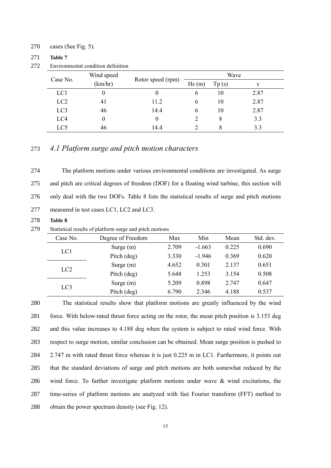#### 270 cases (See [Fig. 5\)](#page-9-0).

#### 271 **Table 7**

272 Environmental condition definition

<span id="page-14-0"></span>

|                 | Wind speed |                   |       |       | Wave     |
|-----------------|------------|-------------------|-------|-------|----------|
| Case No.        | (km/hr)    | Rotor speed (rpm) | Hs(m) | Tp(s) | $\gamma$ |
| LC1             | O          |                   | b     | 10    | 2.87     |
| LC <sub>2</sub> | 41         | 11.2              | 6     | 10    | 2.87     |
| LC <sub>3</sub> | 46         | 14.4              | 6     | 10    | 2.87     |
| LC4             | 0          |                   |       | 8     | 3.3      |
| LC5             | 46         | 14.4              |       | 8     | 3.3      |

### 273 *4.1 Platform surge and pitch motion characters*

 The platform motions under various environmental conditions are investigated. As surge and pitch are critical degrees of freedom (DOF) for a floating wind turbine, this section will only deal with the two DOFs. [Table 8](#page-14-1) lists the statistical results of surge and pitch motions measured in test cases LC1, LC2 and LC3.

<span id="page-14-1"></span>278 **Table 8**

| 279 | Statistical results of platform surge and pitch motions |  |  |  |  |  |  |
|-----|---------------------------------------------------------|--|--|--|--|--|--|
|-----|---------------------------------------------------------|--|--|--|--|--|--|

| Case No.        | Degree of Freedom | Max   | Min      | Mean  | Std. dev. |
|-----------------|-------------------|-------|----------|-------|-----------|
|                 | Surge $(m)$       | 2.709 | $-1.663$ | 0.225 | 0.690     |
| LC1             | Pitch (deg)       | 3.330 | $-1.946$ | 0.369 | 0.620     |
|                 | Surge $(m)$       | 4.652 | 0.301    | 2.137 | 0.651     |
| $_{\text{LC2}}$ | Pitch (deg)       | 5.648 | 1.253    | 3.154 | 0.508     |
|                 | Surge $(m)$       | 5.209 | 0.898    | 2 747 | 0.647     |
| LC <sub>3</sub> | Pitch (deg)       | 6.790 | 2.346    | 4.188 | 0.537     |

 The statistical results show that platform motions are greatly influenced by the wind force. With below-rated thrust force acting on the rotor, the mean pitch position is 3.153 deg and this value increases to 4.188 deg when the system is subject to rated wind force. With respect to surge motion, similar conclusion can be obtained. Mean surge position is pushed to 2.747 m with rated thrust force whereas it is just 0.225 m in LC1. Furthermore, it points out that the standard deviations of surge and pitch motions are both somewhat reduced by the 286 wind force. To further investigate platform motions under wave  $\&$  wind excitations, the time-series of platform motions are analyzed with fast Fourier transform (FFT) method to obtain the power spectrum density (se[e Fig. 12\)](#page-15-0).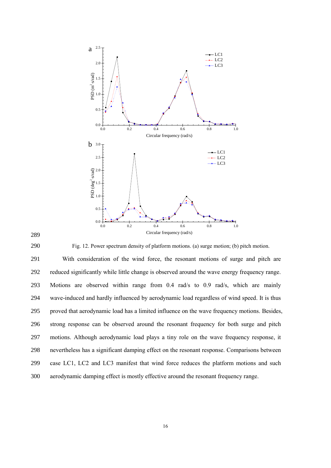

<span id="page-15-0"></span>290 Fig. 12. Power spectrum density of platform motions. (a) surge motion; (b) pitch motion.

 With consideration of the wind force, the resonant motions of surge and pitch are reduced significantly while little change is observed around the wave energy frequency range. Motions are observed within range from 0.4 rad/s to 0.9 rad/s, which are mainly wave-induced and hardly influenced by aerodynamic load regardless of wind speed. It is thus proved that aerodynamic load has a limited influence on the wave frequency motions. Besides, strong response can be observed around the resonant frequency for both surge and pitch motions. Although aerodynamic load plays a tiny role on the wave frequency response, it nevertheless has a significant damping effect on the resonant response. Comparisons between case LC1, LC2 and LC3 manifest that wind force reduces the platform motions and such aerodynamic damping effect is mostly effective around the resonant frequency range.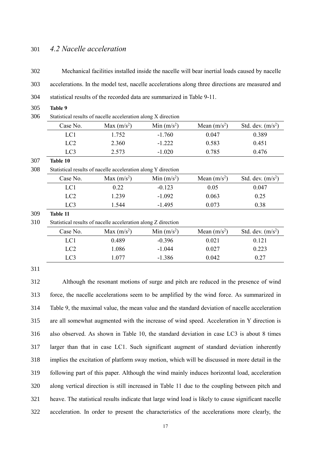### 301 *4.2 Nacelle acceleration*

302 Mechanical facilities installed inside the nacelle will bear inertial loads caused by nacelle

303 accelerations. In the model test, nacelle accelerations along three directions are measured and

| statistical results of the recorded data are summarized in Table 9-11. | 304 |  |  |  |  |
|------------------------------------------------------------------------|-----|--|--|--|--|
|------------------------------------------------------------------------|-----|--|--|--|--|

<span id="page-16-0"></span>305 **Table 9**

| 306<br>Statistical results of nacelle acceleration along X direction |  |
|----------------------------------------------------------------------|--|
|----------------------------------------------------------------------|--|

<span id="page-16-1"></span>

|     | Case No.                                                      | Max $(m/s^2)$                                                 | Min $(m/s^2)$ | Mean $(m/s^2)$ | Std. dev. $(m/s2)$ |  |  |
|-----|---------------------------------------------------------------|---------------------------------------------------------------|---------------|----------------|--------------------|--|--|
|     | LC1                                                           | 1.752                                                         | $-1.760$      | 0.047          | 0.389              |  |  |
|     | LC <sub>2</sub>                                               | 2.360                                                         | $-1.222$      | 0.583          | 0.451              |  |  |
|     | LC3                                                           | 2.573                                                         | $-1.020$      | 0.785          | 0.476              |  |  |
| 307 | Table 10                                                      |                                                               |               |                |                    |  |  |
| 308 |                                                               | Statistical results of nacelle acceleration along Y direction |               |                |                    |  |  |
|     | Case No.                                                      | Max $(m/s^2)$                                                 | Min $(m/s^2)$ | Mean $(m/s^2)$ | Std. dev. $(m/s2)$ |  |  |
|     | LC1                                                           | 0.22                                                          | $-0.123$      | 0.05           | 0.047              |  |  |
|     | LC <sub>2</sub>                                               | 1.239                                                         | $-1.092$      | 0.063          | 0.25               |  |  |
|     | LC <sub>3</sub>                                               | 1.544                                                         | $-1.495$      | 0.073          | 0.38               |  |  |
| 309 | Table 11                                                      |                                                               |               |                |                    |  |  |
| 310 | Statistical results of nacelle acceleration along Z direction |                                                               |               |                |                    |  |  |
|     | Case No.                                                      | Max $(m/s^2)$                                                 | Min $(m/s^2)$ | Mean $(m/s^2)$ | Std. dev. $(m/s2)$ |  |  |
|     | LC1                                                           | 0.489                                                         | $-0.396$      | 0.021          | 0.121              |  |  |
|     | LC <sub>2</sub>                                               | 1.086                                                         | $-1.044$      | 0.027          | 0.223              |  |  |
|     | LC <sub>3</sub>                                               | 1.077                                                         | $-1.386$      | 0.042          | 0.27               |  |  |

<span id="page-16-2"></span>311

 Although the resonant motions of surge and pitch are reduced in the presence of wind force, the nacelle accelerations seem to be amplified by the wind force. As summarized in [Table 9,](#page-16-0) the maximal value, the mean value and the standard deviation of nacelle acceleration are all somewhat augmented with the increase of wind speed. Acceleration in Y direction is also observed. As shown in [Table 10,](#page-16-1) the standard deviation in case LC3 is about 8 times larger than that in case LC1. Such significant augment of standard deviation inherently implies the excitation of platform sway motion, which will be discussed in more detail in the following part of this paper. Although the wind mainly induces horizontal load, acceleration along vertical direction is still increased in [Table 11](#page-16-2) due to the coupling between pitch and heave. The statistical results indicate that large wind load is likely to cause significant nacelle acceleration. In order to present the characteristics of the accelerations more clearly, the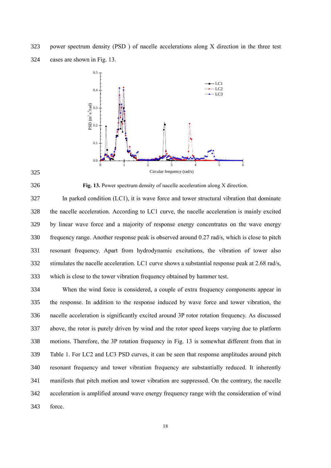power spectrum density (PSD ) of nacelle accelerations along X direction in the three test cases are shown in [Fig. 13.](#page-17-0)



#### 

<span id="page-17-0"></span>**Fig. 13.** Power spectrum density of nacelle acceleration along X direction.

 In parked condition (LC1), it is wave force and tower structural vibration that dominate the nacelle acceleration. According to LC1 curve, the nacelle acceleration is mainly excited by linear wave force and a majority of response energy concentrates on the wave energy frequency range. Another response peak is observed around 0.27 rad/s, which is close to pitch resonant frequency. Apart from hydrodynamic excitations, the vibration of tower also stimulates the nacelle acceleration. LC1 curve shows a substantial response peak at 2.68 rad/s, which is close to the tower vibration frequency obtained by hammer test.

 When the wind force is considered, a couple of extra frequency components appear in the response. In addition to the response induced by wave force and tower vibration, the nacelle acceleration is significantly excited around 3P rotor rotation frequency. As discussed above, the rotor is purely driven by wind and the rotor speed keeps varying due to platform motions. Therefore, the 3P rotation frequency in [Fig. 13](#page-17-0) is somewhat different from that in [Table 1.](#page-6-0) For LC2 and LC3 PSD curves, it can be seen that response amplitudes around pitch resonant frequency and tower vibration frequency are substantially reduced. It inherently manifests that pitch motion and tower vibration are suppressed. On the contrary, the nacelle acceleration is amplified around wave energy frequency range with the consideration of wind force.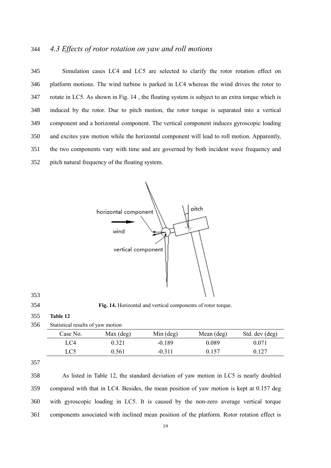## *4.3 Effects of rotor rotation on yaw and roll motions*

 Simulation cases LC4 and LC5 are selected to clarify the rotor rotation effect on platform motions. The wind turbine is parked in LC4 whereas the wind drives the rotor to rotate in LC5. As shown in [Fig. 14](#page-18-0) , the floating system is subject to an extra torque which is induced by the rotor. Due to pitch motion, the rotor torque is separated into a vertical component and a horizontal component. The vertical component induces gyroscopic loading and excites yaw motion while the horizontal component will lead to roll motion. Apparently, the two components vary with time and are governed by both incident wave frequency and pitch natural frequency of the floating system.





<span id="page-18-0"></span>**Fig. 14.** Horizontal and vertical components of rotor torque.

<span id="page-18-1"></span>**Table 12**

| Case No. | $Max$ (deg) | $Min$ (deg) | Mean (deg) | Std. dev (deg) |
|----------|-------------|-------------|------------|----------------|
| LC4      | 9.321       | $-0.189$    | 0.089      | 0.071          |
| LC5      | 0.561       | $-0.311$    | 0.157      | 0.127          |

 As listed in [Table 12,](#page-18-1) the standard deviation of yaw motion in LC5 is nearly doubled compared with that in LC4. Besides, the mean position of yaw motion is kept at 0.157 deg with gyroscopic loading in LC5. It is caused by the non-zero average vertical torque components associated with inclined mean position of the platform. Rotor rotation effect is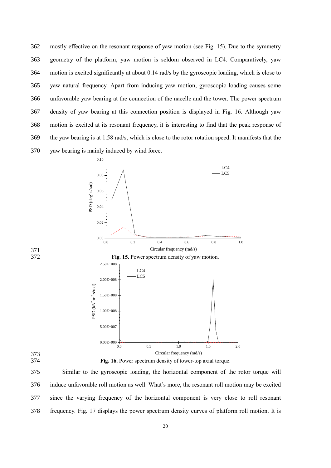mostly effective on the resonant response of yaw motion (see [Fig. 15\)](#page-19-0). Due to the symmetry geometry of the platform, yaw motion is seldom observed in LC4. Comparatively, yaw motion is excited significantly at about 0.14 rad/s by the gyroscopic loading, which is close to yaw natural frequency. Apart from inducing yaw motion, gyroscopic loading causes some unfavorable yaw bearing at the connection of the nacelle and the tower. The power spectrum density of yaw bearing at this connection position is displayed in [Fig. 16.](#page-19-1) Although yaw motion is excited at its resonant frequency, it is interesting to find that the peak response of the yaw bearing is at 1.58 rad/s, which is close to the rotor rotation speed. It manifests that the yaw bearing is mainly induced by wind force.



<span id="page-19-1"></span><span id="page-19-0"></span>

375 Similar to the gyroscopic loading, the horizontal component of the rotor torque will 376 induce unfavorable roll motion as well. What's more, the resonant roll motion may be excited 377 since the varying frequency of the horizontal component is very close to roll resonant 378 frequency. [Fig. 17](#page-20-0) displays the power spectrum density curves of platform roll motion. It is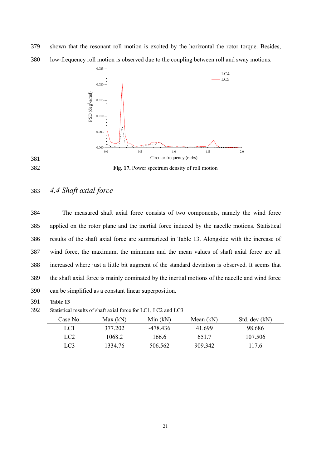379 shown that the resonant roll motion is excited by the horizontal the rotor torque. Besides,



380 low-frequency roll motion is observed due to the coupling between roll and sway motions.

### <span id="page-20-0"></span>382 **Fig. 17.** Power spectrum density of roll motion

# 383 *4.4 Shaft axial force*

 The measured shaft axial force consists of two components, namely the wind force applied on the rotor plane and the inertial force induced by the nacelle motions. Statistical results of the shaft axial force are summarized in [Table 13.](#page-20-1) Alongside with the increase of wind force, the maximum, the minimum and the mean values of shaft axial force are all increased where just a little bit augment of the standard deviation is observed. It seems that the shaft axial force is mainly dominated by the inertial motions of the nacelle and wind force can be simplified as a constant linear superposition.

391 **Table 13**

392 Statistical results of shaft axial force for LC1, LC2 and LC3

<span id="page-20-1"></span>

| Case No.        | Max(kN) | Min(kN)  | Mean $(kN)$ | Std. dev (kN) |
|-----------------|---------|----------|-------------|---------------|
| LC1             | 377.202 | -478 436 | 41.699      | 98.686        |
| LC <sub>2</sub> | 1068.2  | 166.6    | 651.7       | 107.506       |
| LC3             | 1334.76 | 506.562  | 909 342     | 117.6         |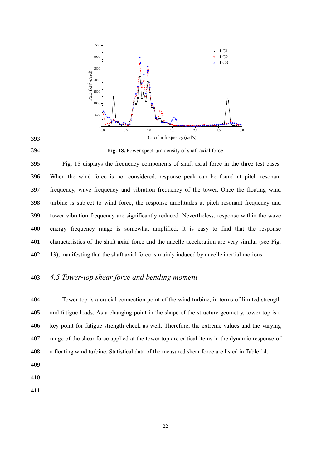

#### <span id="page-21-0"></span>**Fig. 18.** Power spectrum density of shaft axial force

 [Fig. 18](#page-21-0) displays the frequency components of shaft axial force in the three test cases. When the wind force is not considered, response peak can be found at pitch resonant frequency, wave frequency and vibration frequency of the tower. Once the floating wind turbine is subject to wind force, the response amplitudes at pitch resonant frequency and tower vibration frequency are significantly reduced. Nevertheless, response within the wave energy frequency range is somewhat amplified. It is easy to find that the response characteristics of the shaft axial force and the nacelle acceleration are very similar (see [Fig.](#page-17-0)  [13\)](#page-17-0), manifesting that the shaft axial force is mainly induced by nacelle inertial motions.

## *4.5 Tower-top shear force and bending moment*

 Tower top is a crucial connection point of the wind turbine, in terms of limited strength and fatigue loads. As a changing point in the shape of the structure geometry, tower top is a key point for fatigue strength check as well. Therefore, the extreme values and the varying range of the shear force applied at the tower top are critical items in the dynamic response of a floating wind turbine. Statistical data of the measured shear force are listed i[n Table 14.](#page-22-0) 

- 
-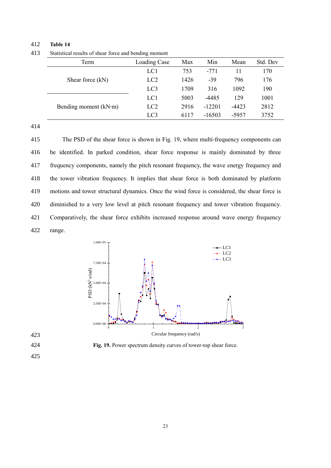#### 412 **Table 14**

413 Statistical results of shear force and bending moment

<span id="page-22-0"></span>

|  | Term                          | Loading Case    | Max  | Min      | Mean    | Std. Dev |
|--|-------------------------------|-----------------|------|----------|---------|----------|
|  | Shear force (kN)              | LC1             | 753  | $-771$   | 11      | 170      |
|  |                               | LC <sub>2</sub> | 1426 | -39      | 796     | 176      |
|  |                               | LC <sub>3</sub> | 1709 | 316      | 1092    | 190      |
|  |                               | LC1             | 5003 | $-4485$  | 129     | 1001     |
|  | Bending moment $(kN \cdot m)$ | LC <sub>2</sub> | 2916 | $-12201$ | $-4423$ | 2812     |
|  |                               | LC <sub>3</sub> | 6117 | $-16503$ | -5957   | 3752     |

414

 The PSD of the shear force is shown in [Fig. 19,](#page-22-1) where multi-frequency components can be identified. In parked condition, shear force response is mainly dominated by three frequency components, namely the pitch resonant frequency, the wave energy frequency and the tower vibration frequency. It implies that shear force is both dominated by platform motions and tower structural dynamics. Once the wind force is considered, the shear force is diminished to a very low level at pitch resonant frequency and tower vibration frequency. Comparatively, the shear force exhibits increased response around wave energy frequency 422 range.





<span id="page-22-1"></span>424 **Fig. 19.** Power spectrum density curves of tower-top shear force.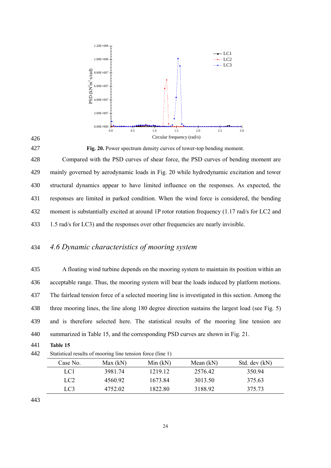

<span id="page-23-0"></span>427 **Fig. 20.** Power spectrum density curves of tower-top bending moment.

 Compared with the PSD curves of shear force, the PSD curves of bending moment are mainly governed by aerodynamic loads in [Fig. 20](#page-23-0) while hydrodynamic excitation and tower structural dynamics appear to have limited influence on the responses. As expected, the responses are limited in parked condition. When the wind force is considered, the bending moment is substantially excited at around 1P rotor rotation frequency (1.17 rad/s for LC2 and 1.5 rad/s for LC3) and the responses over other frequencies are nearly invisible.

# 434 *4.6 Dynamic characteristics of mooring system*

 A floating wind turbine depends on the mooring system to maintain its position within an acceptable range. Thus, the mooring system will bear the loads induced by platform motions. The fairlead tension force of a selected mooring line is investigated in this section. Among the three mooring lines, the line along 180 degree direction sustains the largest load (see [Fig. 5\)](#page-9-0) and is therefore selected here. The statistical results of the mooring line tension are summarized i[n Table 15,](#page-23-1) and the corresponding PSD curves are shown in [Fig. 21.](#page-24-0)

- 441 **Table 15**
- 442 Statistical results of mooring line tension force (line 1)

<span id="page-23-1"></span>

| Case No.        | Max(kN) | Min(kN) | Mean $(kN)$ | Std. dev (kN) |  |
|-----------------|---------|---------|-------------|---------------|--|
| LC1             | 3981.74 | 1219.12 | 2576.42     | 350.94        |  |
| LC <sub>2</sub> | 4560.92 | 1673.84 | 3013.50     | 375.63        |  |
| LC3             | 4752.02 | 1822.80 | 3188.92     | 375.73        |  |
|                 |         |         |             |               |  |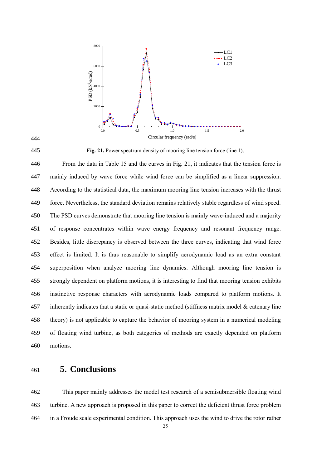

<span id="page-24-0"></span>**Fig. 21.** Power spectrum density of mooring line tension force (line 1).

 From the data in [Table 15](#page-23-1) and the curves in [Fig. 21,](#page-24-0) it indicates that the tension force is mainly induced by wave force while wind force can be simplified as a linear suppression. According to the statistical data, the maximum mooring line tension increases with the thrust force. Nevertheless, the standard deviation remains relatively stable regardless of wind speed. The PSD curves demonstrate that mooring line tension is mainly wave-induced and a majority of response concentrates within wave energy frequency and resonant frequency range. Besides, little discrepancy is observed between the three curves, indicating that wind force effect is limited. It is thus reasonable to simplify aerodynamic load as an extra constant superposition when analyze mooring line dynamics. Although mooring line tension is strongly dependent on platform motions, it is interesting to find that mooring tension exhibits instinctive response characters with aerodynamic loads compared to platform motions. It inherently indicates that a static or quasi-static method (stiffness matrix model & catenary line theory) is not applicable to capture the behavior of mooring system in a numerical modeling of floating wind turbine, as both categories of methods are exactly depended on platform motions.

**5. Conclusions**

 This paper mainly addresses the model test research of a semisubmersible floating wind turbine. A new approach is proposed in this paper to correct the deficient thrust force problem in a Froude scale experimental condition. This approach uses the wind to drive the rotor rather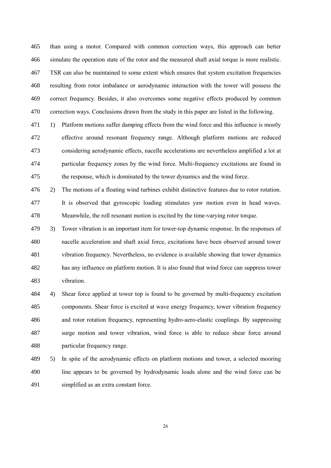than using a motor. Compared with common correction ways, this approach can better simulate the operation state of the rotor and the measured shaft axial torque is more realistic. TSR can also be maintained to some extent which ensures that system excitation frequencies resulting from rotor imbalance or aerodynamic interaction with the tower will possess the correct frequency. Besides, it also overcomes some negative effects produced by common correction ways. Conclusions drawn from the study in this paper are listed in the following.

471 1) Platform motions suffer damping effects from the wind force and this influence is mostly effective around resonant frequency range. Although platform motions are reduced considering aerodynamic effects, nacelle accelerations are nevertheless amplified a lot at particular frequency zones by the wind force. Multi-frequency excitations are found in the response, which is dominated by the tower dynamics and the wind force.

 2) The motions of a floating wind turbines exhibit distinctive features due to rotor rotation. It is observed that gyroscopic loading stimulates yaw motion even in head waves. Meanwhile, the roll resonant motion is excited by the time-varying rotor torque.

 3) Tower vibration is an important item for tower-top dynamic response. In the responses of nacelle acceleration and shaft axial force, excitations have been observed around tower vibration frequency. Nevertheless, no evidence is available showing that tower dynamics has any influence on platform motion. It is also found that wind force can suppress tower vibration.

 4) Shear force applied at tower top is found to be governed by multi-frequency excitation components. Shear force is excited at wave energy frequency, tower vibration frequency and rotor rotation frequency, representing hydro-aero-elastic couplings. By suppressing surge motion and tower vibration, wind force is able to reduce shear force around particular frequency range.

 5) In spite of the aerodynamic effects on platform motions and tower, a selected mooring line appears to be governed by hydrodynamic loads alone and the wind force can be simplified as an extra constant force.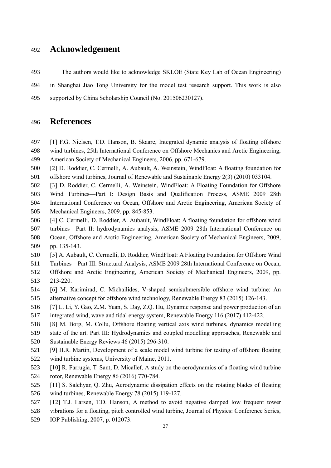# **Acknowledgement**

 The authors would like to acknowledge SKLOE (State Key Lab of Ocean Engineering) in Shanghai Jiao Tong University for the model test research support. This work is also supported by China Scholarship Council (No. 201506230127).

# **References**

- [1] F.G. Nielsen, T.D. Hanson, B. Skaare, Integrated dynamic analysis of floating offshore wind turbines, 25th International Conference on Offshore Mechanics and Arctic Engineering, American Society of Mechanical Engineers, 2006, pp. 671-679.
- [2] D. Roddier, C. Cermelli, A. Aubault, A. Weinstein, WindFloat: A floating foundation for offshore wind turbines, Journal of Renewable and Sustainable Energy 2(3) (2010) 033104.
- [3] D. Roddier, C. Cermelli, A. Weinstein, WindFloat: A Floating Foundation for Offshore
- Wind Turbines—Part I: Design Basis and Qualification Process, ASME 2009 28th
- International Conference on Ocean, Offshore and Arctic Engineering, American Society of Mechanical Engineers, 2009, pp. 845-853.
- [4] C. Cermelli, D. Roddier, A. Aubault, WindFloat: A floating foundation for offshore wind turbines—Part II: hydrodynamics analysis, ASME 2009 28th International Conference on Ocean, Offshore and Arctic Engineering, American Society of Mechanical Engineers, 2009, pp. 135-143.
- [5] A. Aubault, C. Cermelli, D. Roddier, WindFloat: A Floating Foundation for Offshore Wind
- Turbines—Part III: Structural Analysis, ASME 2009 28th International Conference on Ocean,
- Offshore and Arctic Engineering, American Society of Mechanical Engineers, 2009, pp. 213-220.
- [6] M. Karimirad, C. Michailides, V-shaped semisubmersible offshore wind turbine: An alternative concept for offshore wind technology, Renewable Energy 83 (2015) 126-143.
- [7] L. Li, Y. Gao, Z.M. Yuan, S. Day, Z.Q. Hu, Dynamic response and power production of an
- integrated wind, wave and tidal energy system, Renewable Energy 116 (2017) 412-422.
- [8] M. Borg, M. Collu, Offshore floating vertical axis wind turbines, dynamics modelling state of the art. Part III: Hydrodynamics and coupled modelling approaches, Renewable and Sustainable Energy Reviews 46 (2015) 296-310.
- [9] H.R. Martin, Development of a scale model wind turbine for testing of offshore floating wind turbine systems, University of Maine, 2011.
- [10] R. Farrugia, T. Sant, D. Micallef, A study on the aerodynamics of a floating wind turbine rotor, Renewable Energy 86 (2016) 770-784.
- [11] S. Salehyar, Q. Zhu, Aerodynamic dissipation effects on the rotating blades of floating wind turbines, Renewable Energy 78 (2015) 119-127.
- [12] T.J. Larsen, T.D. Hanson, A method to avoid negative damped low frequent tower
- vibrations for a floating, pitch controlled wind turbine, Journal of Physics: Conference Series,
- IOP Publishing, 2007, p. 012073.